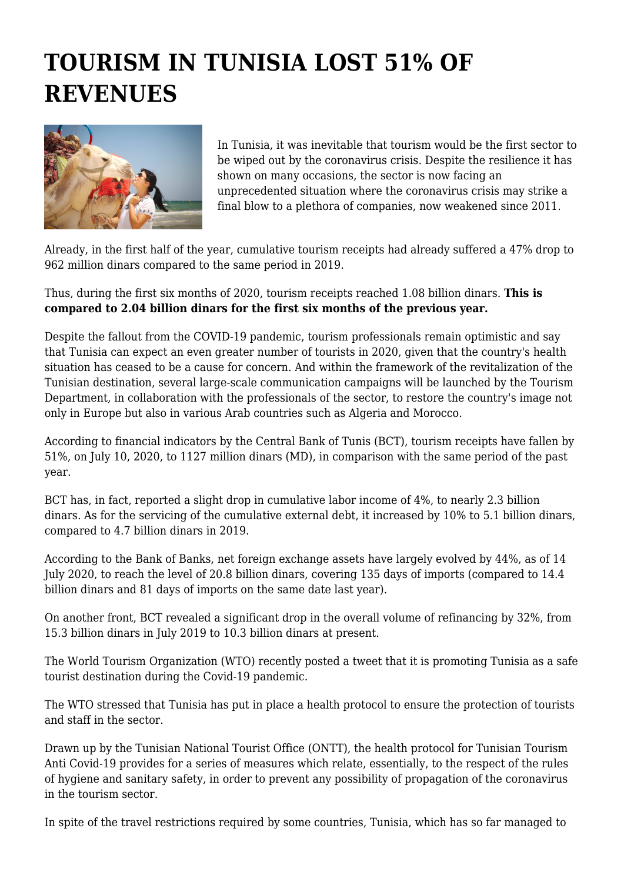## **TOURISM IN TUNISIA LOST 51% OF REVENUES**



In Tunisia, it was inevitable that tourism would be the first sector to be wiped out by the coronavirus crisis. Despite the resilience it has shown on many occasions, the sector is now facing an unprecedented situation where the coronavirus crisis may strike a final blow to a plethora of companies, now weakened since 2011.

Already, in the first half of the year, cumulative tourism receipts had already suffered a 47% drop to 962 million dinars compared to the same period in 2019.

Thus, during the first six months of 2020, tourism receipts reached 1.08 billion dinars. **This is compared to 2.04 billion dinars for the first six months of the previous year.**

Despite the fallout from the COVID-19 pandemic, tourism professionals remain optimistic and say that Tunisia can expect an even greater number of tourists in 2020, given that the country's health situation has ceased to be a cause for concern. And within the framework of the revitalization of the Tunisian destination, several large-scale communication campaigns will be launched by the Tourism Department, in collaboration with the professionals of the sector, to restore the country's image not only in Europe but also in various Arab countries such as Algeria and Morocco.

According to financial indicators by the Central Bank of Tunis (BCT), tourism receipts have fallen by 51%, on July 10, 2020, to 1127 million dinars (MD), in comparison with the same period of the past year.

BCT has, in fact, reported a slight drop in cumulative labor income of 4%, to nearly 2.3 billion dinars. As for the servicing of the cumulative external debt, it increased by 10% to 5.1 billion dinars, compared to 4.7 billion dinars in 2019.

According to the Bank of Banks, net foreign exchange assets have largely evolved by 44%, as of 14 July 2020, to reach the level of 20.8 billion dinars, covering 135 days of imports (compared to 14.4 billion dinars and 81 days of imports on the same date last year).

On another front, BCT revealed a significant drop in the overall volume of refinancing by 32%, from 15.3 billion dinars in July 2019 to 10.3 billion dinars at present.

The World Tourism Organization (WTO) recently posted a tweet that it is promoting Tunisia as a safe tourist destination during the Covid-19 pandemic.

The WTO stressed that Tunisia has put in place a health protocol to ensure the protection of tourists and staff in the sector.

Drawn up by the Tunisian National Tourist Office (ONTT), the health protocol for Tunisian Tourism Anti Covid-19 provides for a series of measures which relate, essentially, to the respect of the rules of hygiene and sanitary safety, in order to prevent any possibility of propagation of the coronavirus in the tourism sector.

In spite of the travel restrictions required by some countries, Tunisia, which has so far managed to